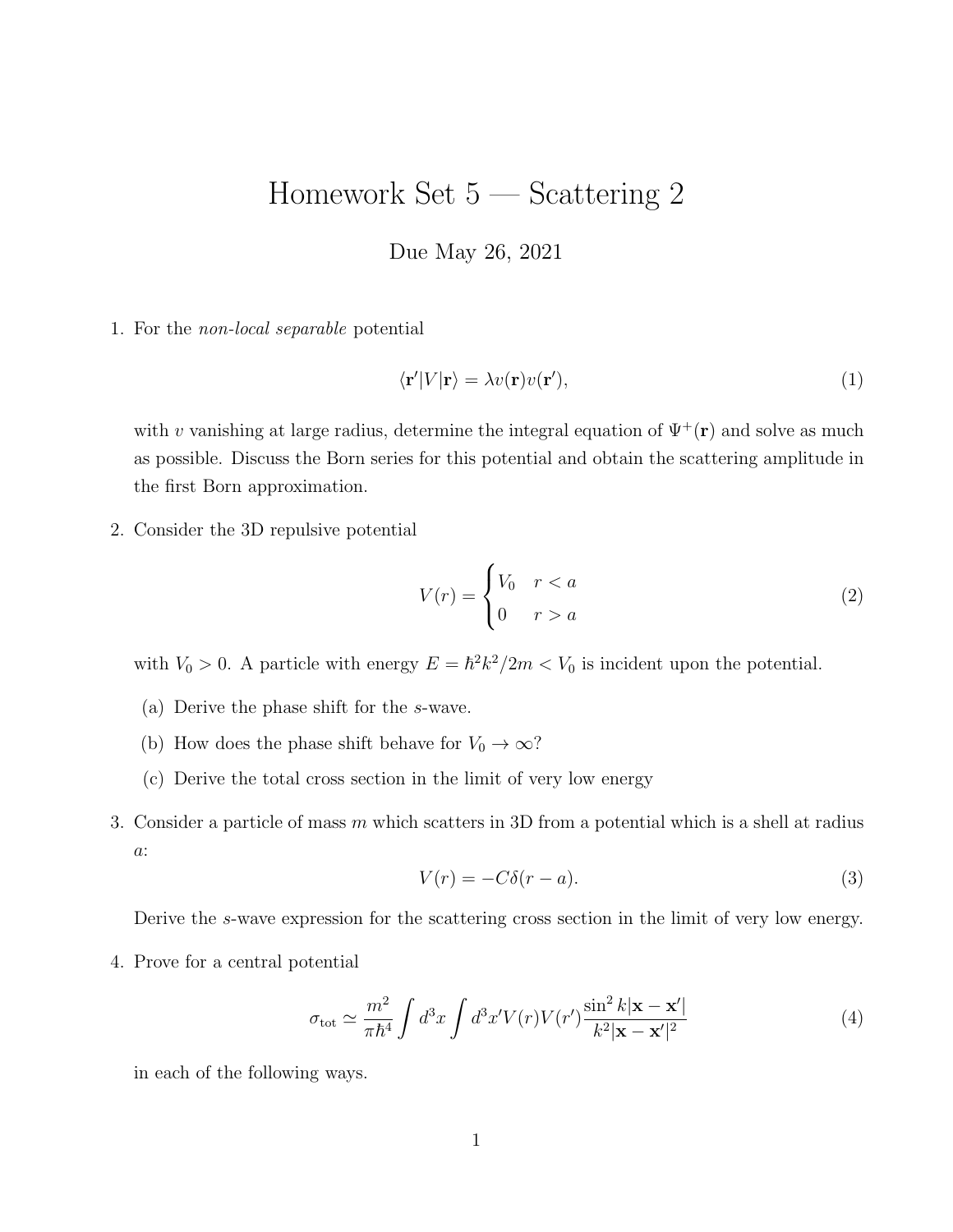## Homework Set 5 — Scattering 2

Due May 26, 2021

1. For the non-local separable potential

$$
\langle \mathbf{r}' | V | \mathbf{r} \rangle = \lambda v(\mathbf{r}) v(\mathbf{r}'), \tag{1}
$$

with v vanishing at large radius, determine the integral equation of  $\Psi^+(\mathbf{r})$  and solve as much as possible. Discuss the Born series for this potential and obtain the scattering amplitude in the first Born approximation.

2. Consider the 3D repulsive potential

$$
V(r) = \begin{cases} V_0 & r < a \\ 0 & r > a \end{cases} \tag{2}
$$

with  $V_0 > 0$ . A particle with energy  $E = \hbar^2 k^2 / 2m < V_0$  is incident upon the potential.

- (a) Derive the phase shift for the s-wave.
- (b) How does the phase shift behave for  $V_0 \rightarrow \infty?$
- (c) Derive the total cross section in the limit of very low energy
- 3. Consider a particle of mass m which scatters in 3D from a potential which is a shell at radius  $a\colon$

$$
V(r) = -C\delta(r - a). \tag{3}
$$

Derive the s-wave expression for the scattering cross section in the limit of very low energy.

4. Prove for a central potential

$$
\sigma_{\text{tot}} \simeq \frac{m^2}{\pi \hbar^4} \int d^3 x \int d^3 x' V(r) V(r') \frac{\sin^2 k |\mathbf{x} - \mathbf{x}'|}{k^2 |\mathbf{x} - \mathbf{x}'|^2}
$$
(4)

in each of the following ways.